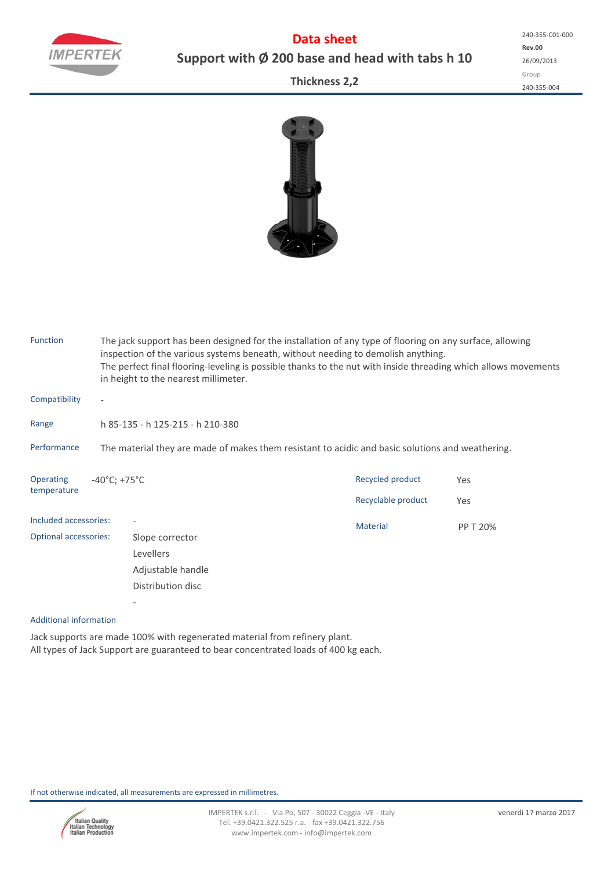

**Data sheet Support with Ø 200 base and head with tabs h 10** **Rev.00** 26/09/2013 Group 240‐355‐004 240‐355‐C01‐000

## **Thickness 2,2**



| Function                                              |                                                                                                  | The jack support has been designed for the installation of any type of flooring on any surface, allowing<br>inspection of the various systems beneath, without needing to demolish anything.<br>The perfect final flooring-leveling is possible thanks to the nut with inside threading which allows movements<br>in height to the nearest millimeter. |                                        |            |  |  |  |  |  |
|-------------------------------------------------------|--------------------------------------------------------------------------------------------------|--------------------------------------------------------------------------------------------------------------------------------------------------------------------------------------------------------------------------------------------------------------------------------------------------------------------------------------------------------|----------------------------------------|------------|--|--|--|--|--|
| Compatibility                                         | $\overline{\phantom{a}}$                                                                         |                                                                                                                                                                                                                                                                                                                                                        |                                        |            |  |  |  |  |  |
| Range                                                 |                                                                                                  | h 85-135 - h 125-215 - h 210-380                                                                                                                                                                                                                                                                                                                       |                                        |            |  |  |  |  |  |
| Performance                                           | The material they are made of makes them resistant to acidic and basic solutions and weathering. |                                                                                                                                                                                                                                                                                                                                                        |                                        |            |  |  |  |  |  |
| <b>Operating</b><br>temperature                       | $-40^{\circ}$ C; +75 $^{\circ}$ C                                                                |                                                                                                                                                                                                                                                                                                                                                        | Recycled product<br>Recyclable product | Yes<br>Yes |  |  |  |  |  |
| Included accessories:<br><b>Optional accessories:</b> |                                                                                                  | Slope corrector<br>Levellers<br>Adjustable handle<br>Distribution disc                                                                                                                                                                                                                                                                                 | <b>Material</b>                        | PP T 20%   |  |  |  |  |  |

## Additional information

Jack supports are made 100% with regenerated material from refinery plant. All types of Jack Support are guaranteed to bear concentrated loads of 400 kg each.

If not otherwise indicated, all measurements are expressed in millimetres.